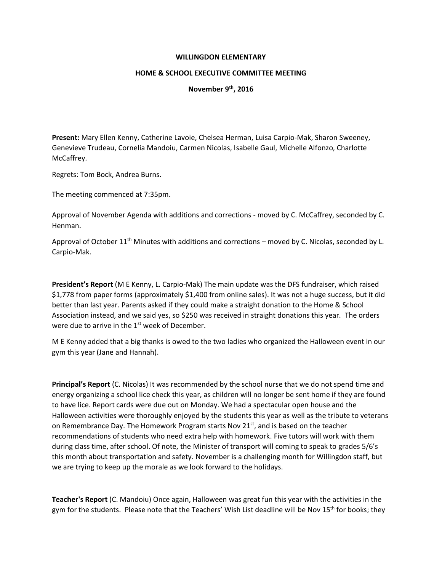## **WILLINGDON ELEMENTARY**

## **HOME & SCHOOL EXECUTIVE COMMITTEE MEETING**

## **November 9th, 2016**

**Present:** Mary Ellen Kenny, Catherine Lavoie, Chelsea Herman, Luisa Carpio-Mak, Sharon Sweeney, Genevieve Trudeau, Cornelia Mandoiu, Carmen Nicolas, Isabelle Gaul, Michelle Alfonzo, Charlotte McCaffrey.

Regrets: Tom Bock, Andrea Burns.

The meeting commenced at 7:35pm.

Approval of November Agenda with additions and corrections - moved by C. McCaffrey, seconded by C. Henman.

Approval of October  $11<sup>th</sup>$  Minutes with additions and corrections – moved by C. Nicolas, seconded by L. Carpio-Mak.

**President's Report** (M E Kenny, L. Carpio-Mak) The main update was the DFS fundraiser, which raised \$1,778 from paper forms (approximately \$1,400 from online sales). It was not a huge success, but it did better than last year. Parents asked if they could make a straight donation to the Home & School Association instead, and we said yes, so \$250 was received in straight donations this year. The orders were due to arrive in the  $1<sup>st</sup>$  week of December.

M E Kenny added that a big thanks is owed to the two ladies who organized the Halloween event in our gym this year (Jane and Hannah).

**Principal's Report** (C. Nicolas) It was recommended by the school nurse that we do not spend time and energy organizing a school lice check this year, as children will no longer be sent home if they are found to have lice. Report cards were due out on Monday. We had a spectacular open house and the Halloween activities were thoroughly enjoyed by the students this year as well as the tribute to veterans on Remembrance Day. The Homework Program starts Nov 21<sup>st</sup>, and is based on the teacher recommendations of students who need extra help with homework. Five tutors will work with them during class time, after school. Of note, the Minister of transport will coming to speak to grades 5/6's this month about transportation and safety. November is a challenging month for Willingdon staff, but we are trying to keep up the morale as we look forward to the holidays.

**Teacher's Report** (C. Mandoiu) Once again, Halloween was great fun this year with the activities in the gym for the students. Please note that the Teachers' Wish List deadline will be Nov 15<sup>th</sup> for books; they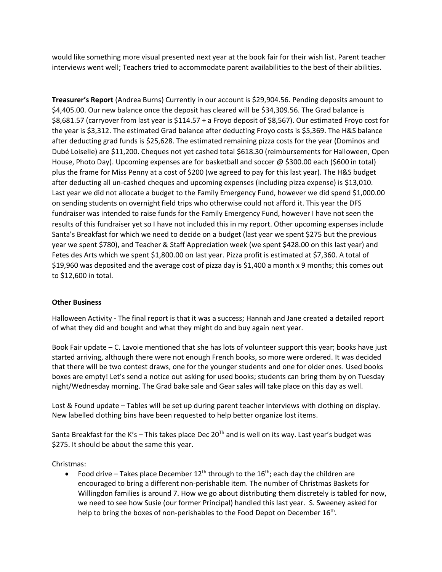would like something more visual presented next year at the book fair for their wish list. Parent teacher interviews went well; Teachers tried to accommodate parent availabilities to the best of their abilities.

**Treasurer's Report** (Andrea Burns) Currently in our account is \$29,904.56. Pending deposits amount to \$4,405.00. Our new balance once the deposit has cleared will be \$34,309.56. The Grad balance is \$8,681.57 (carryover from last year is \$114.57 + a Froyo deposit of \$8,567). Our estimated Froyo cost for the year is \$3,312. The estimated Grad balance after deducting Froyo costs is \$5,369. The H&S balance after deducting grad funds is \$25,628. The estimated remaining pizza costs for the year (Dominos and Dubé Loiselle) are \$11,200. Cheques not yet cashed total \$618.30 (reimbursements for Halloween, Open House, Photo Day). Upcoming expenses are for basketball and soccer @ \$300.00 each (\$600 in total) plus the frame for Miss Penny at a cost of \$200 (we agreed to pay for this last year). The H&S budget after deducting all un-cashed cheques and upcoming expenses (including pizza expense) is \$13,010. Last year we did not allocate a budget to the Family Emergency Fund, however we did spend \$1,000.00 on sending students on overnight field trips who otherwise could not afford it. This year the DFS fundraiser was intended to raise funds for the Family Emergency Fund, however I have not seen the results of this fundraiser yet so I have not included this in my report. Other upcoming expenses include Santa's Breakfast for which we need to decide on a budget (last year we spent \$275 but the previous year we spent \$780), and Teacher & Staff Appreciation week (we spent \$428.00 on this last year) and Fetes des Arts which we spent \$1,800.00 on last year. Pizza profit is estimated at \$7,360. A total of \$19,960 was deposited and the average cost of pizza day is \$1,400 a month x 9 months; this comes out to \$12,600 in total.

## **Other Business**

Halloween Activity - The final report is that it was a success; Hannah and Jane created a detailed report of what they did and bought and what they might do and buy again next year.

Book Fair update – C. Lavoie mentioned that she has lots of volunteer support this year; books have just started arriving, although there were not enough French books, so more were ordered. It was decided that there will be two contest draws, one for the younger students and one for older ones. Used books boxes are empty! Let's send a notice out asking for used books; students can bring them by on Tuesday night/Wednesday morning. The Grad bake sale and Gear sales will take place on this day as well.

Lost & Found update – Tables will be set up during parent teacher interviews with clothing on display. New labelled clothing bins have been requested to help better organize lost items.

Santa Breakfast for the K's - This takes place Dec  $20<sup>Th</sup>$  and is well on its way. Last year's budget was \$275. It should be about the same this year.

Christmas:

Food drive – Takes place December  $12^{th}$  through to the  $16^{th}$ ; each day the children are encouraged to bring a different non-perishable item. The number of Christmas Baskets for Willingdon families is around 7. How we go about distributing them discretely is tabled for now, we need to see how Susie (our former Principal) handled this last year. S. Sweeney asked for help to bring the boxes of non-perishables to the Food Depot on December  $16^{\text{th}}$ .